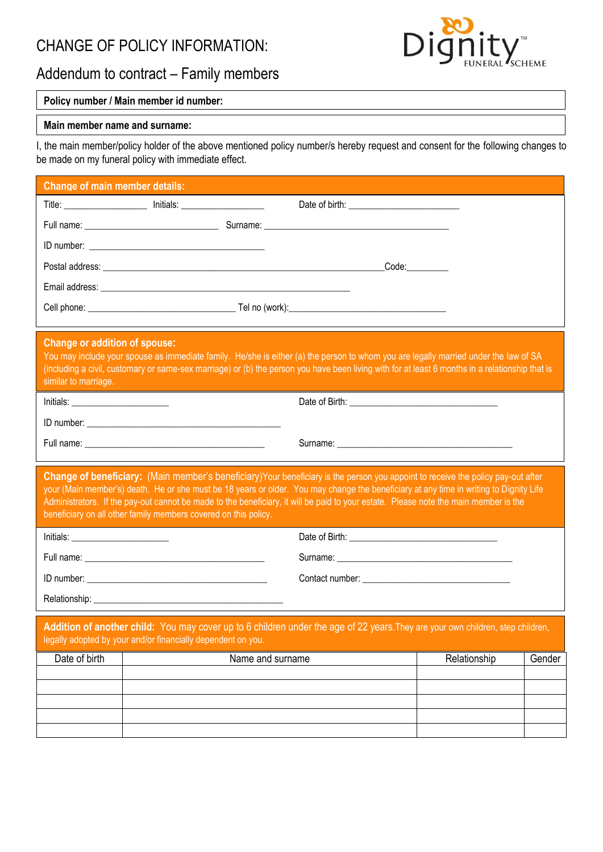# CHANGE OF POLICY INFORMATION:



# Addendum to contract – Family members

## **Policy number / Main member id number:**

### **Main member name and surname:**

I, the main member/policy holder of the above mentioned policy number/s hereby request and consent for the following changes to be made on my funeral policy with immediate effect.

| <b>Change of main member details:</b>                                                                                                                                                                                                                                                                                                                                                                                                                                                 |                                                              |                                                                                                                                                                                                                                                                                         |
|---------------------------------------------------------------------------------------------------------------------------------------------------------------------------------------------------------------------------------------------------------------------------------------------------------------------------------------------------------------------------------------------------------------------------------------------------------------------------------------|--------------------------------------------------------------|-----------------------------------------------------------------------------------------------------------------------------------------------------------------------------------------------------------------------------------------------------------------------------------------|
|                                                                                                                                                                                                                                                                                                                                                                                                                                                                                       |                                                              |                                                                                                                                                                                                                                                                                         |
|                                                                                                                                                                                                                                                                                                                                                                                                                                                                                       |                                                              |                                                                                                                                                                                                                                                                                         |
|                                                                                                                                                                                                                                                                                                                                                                                                                                                                                       |                                                              |                                                                                                                                                                                                                                                                                         |
|                                                                                                                                                                                                                                                                                                                                                                                                                                                                                       |                                                              | $\textcolor{red}{\mathsf{Code}}$ :                                                                                                                                                                                                                                                      |
|                                                                                                                                                                                                                                                                                                                                                                                                                                                                                       |                                                              |                                                                                                                                                                                                                                                                                         |
|                                                                                                                                                                                                                                                                                                                                                                                                                                                                                       |                                                              |                                                                                                                                                                                                                                                                                         |
| <b>Change or addition of spouse:</b><br>similar to marriage.                                                                                                                                                                                                                                                                                                                                                                                                                          |                                                              | You may include your spouse as immediate family. He/she is either (a) the person to whom you are legally married under the law of SA<br>(including a civil, customary or same-sex marriage) or (b) the person you have been living with for at least 6 months in a relationship that is |
|                                                                                                                                                                                                                                                                                                                                                                                                                                                                                       |                                                              |                                                                                                                                                                                                                                                                                         |
|                                                                                                                                                                                                                                                                                                                                                                                                                                                                                       |                                                              |                                                                                                                                                                                                                                                                                         |
|                                                                                                                                                                                                                                                                                                                                                                                                                                                                                       |                                                              |                                                                                                                                                                                                                                                                                         |
| Change of beneficiary: (Main member's beneficiary)Your beneficiary is the person you appoint to receive the policy pay-out after<br>your (Main member's) death. He or she must be 18 years or older. You may change the beneficiary at any time in writing to Dignity Life<br>Administrators. If the pay-out cannot be made to the beneficiary, it will be paid to your estate. Please note the main member is the<br>beneficiary on all other family members covered on this policy. |                                                              |                                                                                                                                                                                                                                                                                         |
|                                                                                                                                                                                                                                                                                                                                                                                                                                                                                       |                                                              |                                                                                                                                                                                                                                                                                         |
|                                                                                                                                                                                                                                                                                                                                                                                                                                                                                       |                                                              |                                                                                                                                                                                                                                                                                         |
|                                                                                                                                                                                                                                                                                                                                                                                                                                                                                       |                                                              |                                                                                                                                                                                                                                                                                         |
|                                                                                                                                                                                                                                                                                                                                                                                                                                                                                       |                                                              |                                                                                                                                                                                                                                                                                         |
|                                                                                                                                                                                                                                                                                                                                                                                                                                                                                       | legally adopted by your and/or financially dependent on you. | Addition of another child: You may cover up to 6 children under the age of 22 years. They are your own children, step children,                                                                                                                                                         |
| Date of birth                                                                                                                                                                                                                                                                                                                                                                                                                                                                         | Name and surname                                             | Relationship<br>Gender                                                                                                                                                                                                                                                                  |
|                                                                                                                                                                                                                                                                                                                                                                                                                                                                                       |                                                              |                                                                                                                                                                                                                                                                                         |
|                                                                                                                                                                                                                                                                                                                                                                                                                                                                                       |                                                              |                                                                                                                                                                                                                                                                                         |
|                                                                                                                                                                                                                                                                                                                                                                                                                                                                                       |                                                              |                                                                                                                                                                                                                                                                                         |
|                                                                                                                                                                                                                                                                                                                                                                                                                                                                                       |                                                              |                                                                                                                                                                                                                                                                                         |